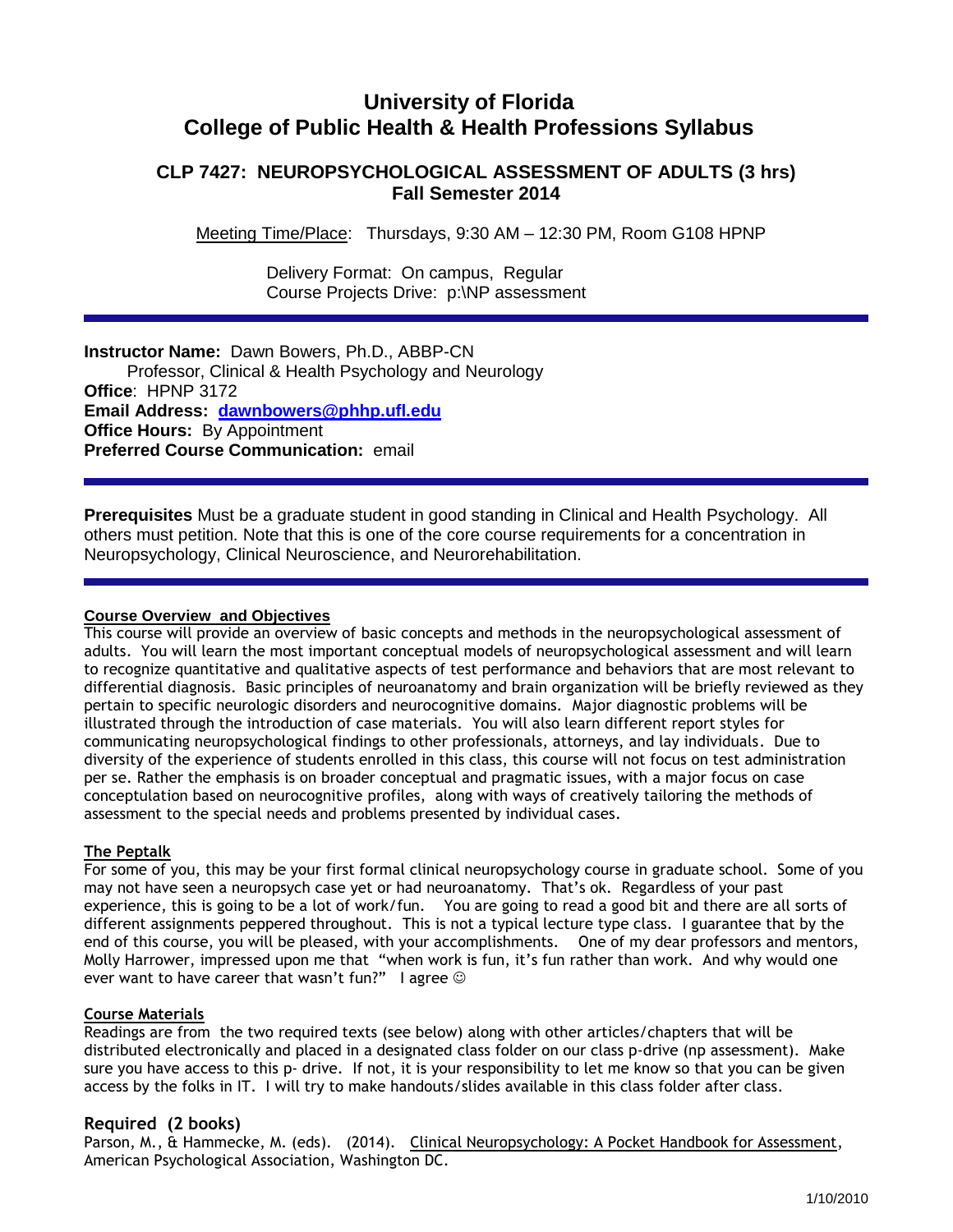# **University of Florida College of Public Health & Health Professions Syllabus**

## **CLP 7427: NEUROPSYCHOLOGICAL ASSESSMENT OF ADULTS (3 hrs) Fall Semester 2014**

Meeting Time/Place: Thursdays, 9:30 AM – 12:30 PM, Room G108 HPNP

 Delivery Format: On campus, Regular Course Projects Drive: p:\NP assessment

### **Instructor Name:** Dawn Bowers, Ph.D., ABBP-CN

 Professor, Clinical & Health Psychology and Neurology **Office**: HPNP 3172 **Email Address: [dawnbowers@phhp.ufl.edu](mailto:dawnbowers@phhp.ufl.edu) Office Hours: By Appointment Preferred Course Communication:** email

**Prerequisites** Must be a graduate student in good standing in Clinical and Health Psychology. All others must petition. Note that this is one of the core course requirements for a concentration in Neuropsychology, Clinical Neuroscience, and Neurorehabilitation.

### **Course Overview and Objectives**

This course will provide an overview of basic concepts and methods in the neuropsychological assessment of adults. You will learn the most important conceptual models of neuropsychological assessment and will learn to recognize quantitative and qualitative aspects of test performance and behaviors that are most relevant to differential diagnosis. Basic principles of neuroanatomy and brain organization will be briefly reviewed as they pertain to specific neurologic disorders and neurocognitive domains. Major diagnostic problems will be illustrated through the introduction of case materials. You will also learn different report styles for communicating neuropsychological findings to other professionals, attorneys, and lay individuals. Due to diversity of the experience of students enrolled in this class, this course will not focus on test administration per se. Rather the emphasis is on broader conceptual and pragmatic issues, with a major focus on case conceptulation based on neurocognitive profiles, along with ways of creatively tailoring the methods of assessment to the special needs and problems presented by individual cases.

### **The Peptalk**

For some of you, this may be your first formal clinical neuropsychology course in graduate school. Some of you may not have seen a neuropsych case yet or had neuroanatomy. That's ok. Regardless of your past experience, this is going to be a lot of work/fun. You are going to read a good bit and there are all sorts of different assignments peppered throughout. This is not a typical lecture type class. I guarantee that by the end of this course, you will be pleased, with your accomplishments. One of my dear professors and mentors, Molly Harrower, impressed upon me that "when work is fun, it's fun rather than work. And why would one ever want to have career that wasn't fun?" I agree  $\odot$ 

#### **Course Materials**

Readings are from the two required texts (see below) along with other articles/chapters that will be distributed electronically and placed in a designated class folder on our class p-drive (np assessment). Make sure you have access to this p- drive. If not, it is your responsibility to let me know so that you can be given access by the folks in IT. I will try to make handouts/slides available in this class folder after class.

### **Required (2 books)**

Parson, M., & Hammecke, M. (eds). (2014). Clinical Neuropsychology: A Pocket Handbook for Assessment, American Psychological Association, Washington DC.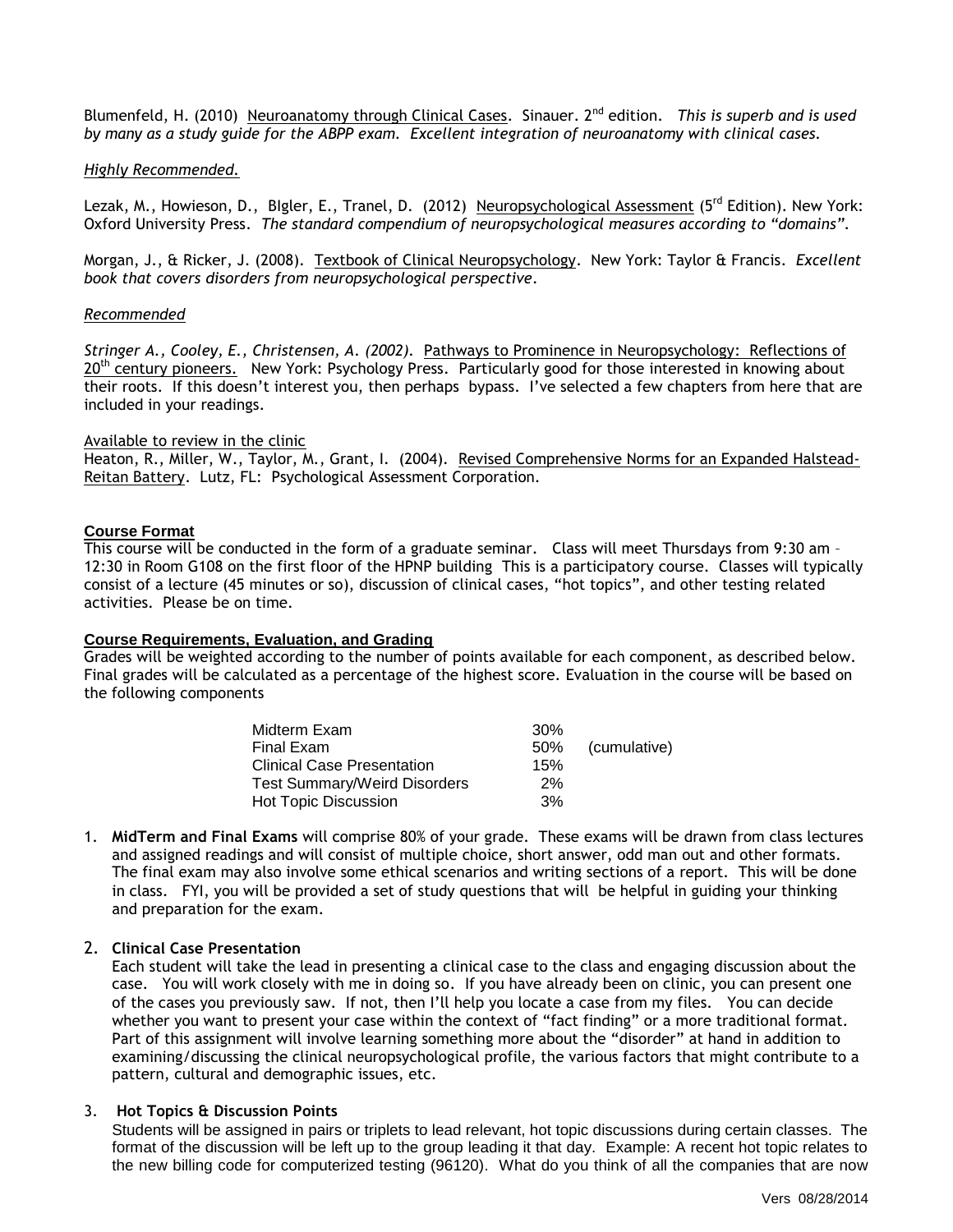Blumenfeld, H. (2010) Neuroanatomy through Clinical Cases. Sinauer. 2nd edition. *This is superb and is used by many as a study guide for the ABPP exam. Excellent integration of neuroanatomy with clinical cases.* 

#### *Highly Recommended.*

Lezak, M., Howieson, D., Blgler, E., Tranel, D. (2012) Neuropsychological Assessment (5<sup>rd</sup> Edition). New York: Oxford University Press. *The standard compendium of neuropsychological measures according to "domains".* 

Morgan, J., & Ricker, J. (2008). Textbook of Clinical Neuropsychology. New York: Taylor & Francis. *Excellent book that covers disorders from neuropsychological perspective.*

#### *Recommended*

*Stringer A., Cooley, E., Christensen, A. (2002).* Pathways to Prominence in Neuropsychology: Reflections of 20<sup>th</sup> century pioneers. New York: Psychology Press. Particularly good for those interested in knowing about their roots. If this doesn't interest you, then perhaps bypass. I've selected a few chapters from here that are included in your readings.

#### Available to review in the clinic

Heaton, R., Miller, W., Taylor, M., Grant, I. (2004). Revised Comprehensive Norms for an Expanded Halstead-Reitan Battery. Lutz, FL: Psychological Assessment Corporation.

#### **Course Format**

This course will be conducted in the form of a graduate seminar. Class will meet Thursdays from 9:30 am – 12:30 in Room G108 on the first floor of the HPNP building This is a participatory course. Classes will typically consist of a lecture (45 minutes or so), discussion of clinical cases, "hot topics", and other testing related activities. Please be on time.

#### **Course Requirements, Evaluation, and Grading**

Grades will be weighted according to the number of points available for each component, as described below. Final grades will be calculated as a percentage of the highest score. Evaluation in the course will be based on the following components

| Midterm Exam                        | 30% |              |
|-------------------------------------|-----|--------------|
| Final Exam                          | 50% | (cumulative) |
| <b>Clinical Case Presentation</b>   | 15% |              |
| <b>Test Summary/Weird Disorders</b> | 2%  |              |
| <b>Hot Topic Discussion</b>         | 3%  |              |

1. **MidTerm and Final Exams** will comprise 80% of your grade. These exams will be drawn from class lectures and assigned readings and will consist of multiple choice, short answer, odd man out and other formats. The final exam may also involve some ethical scenarios and writing sections of a report. This will be done in class. FYI, you will be provided a set of study questions that will be helpful in guiding your thinking and preparation for the exam.

#### 2. **Clinical Case Presentation**

Each student will take the lead in presenting a clinical case to the class and engaging discussion about the case. You will work closely with me in doing so. If you have already been on clinic, you can present one of the cases you previously saw. If not, then I'll help you locate a case from my files. You can decide whether you want to present your case within the context of "fact finding" or a more traditional format. Part of this assignment will involve learning something more about the "disorder" at hand in addition to examining/discussing the clinical neuropsychological profile, the various factors that might contribute to a pattern, cultural and demographic issues, etc.

#### 3. **Hot Topics & Discussion Points**

Students will be assigned in pairs or triplets to lead relevant, hot topic discussions during certain classes. The format of the discussion will be left up to the group leading it that day. Example: A recent hot topic relates to the new billing code for computerized testing (96120). What do you think of all the companies that are now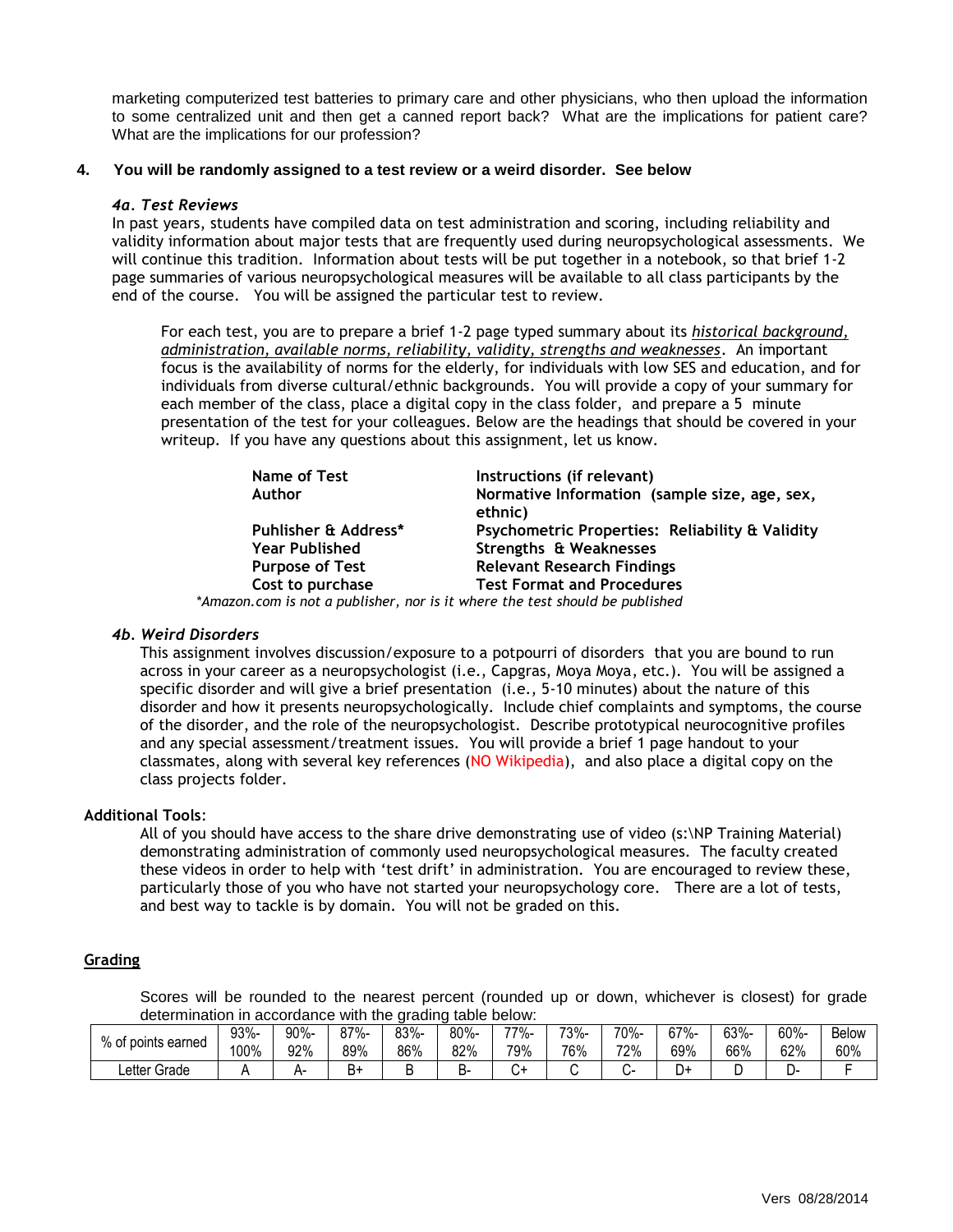marketing computerized test batteries to primary care and other physicians, who then upload the information to some centralized unit and then get a canned report back? What are the implications for patient care? What are the implications for our profession?

#### **4. You will be randomly assigned to a test review or a weird disorder. See below**

#### *4a. Test Reviews*

In past years, students have compiled data on test administration and scoring, including reliability and validity information about major tests that are frequently used during neuropsychological assessments. We will continue this tradition. Information about tests will be put together in a notebook, so that brief 1-2 page summaries of various neuropsychological measures will be available to all class participants by the end of the course. You will be assigned the particular test to review.

For each test, you are to prepare a brief 1-2 page typed summary about its *historical background, administration, available norms, reliability, validity, strengths and weaknesses*. An important focus is the availability of norms for the elderly, for individuals with low SES and education, and for individuals from diverse cultural/ethnic backgrounds. You will provide a copy of your summary for each member of the class, place a digital copy in the class folder, and prepare a 5 minute presentation of the test for your colleagues. Below are the headings that should be covered in your writeup. If you have any questions about this assignment, let us know.

| Name of Test                                                                 | Instructions (if relevant)                               |
|------------------------------------------------------------------------------|----------------------------------------------------------|
| Author                                                                       | Normative Information (sample size, age, sex,<br>ethnic) |
| Puhlisher & Address*                                                         | Psychometric Properties: Reliability & Validity          |
| <b>Year Published</b>                                                        | Strengths & Weaknesses                                   |
| <b>Purpose of Test</b>                                                       | <b>Relevant Research Findings</b>                        |
| Cost to purchase                                                             | <b>Test Format and Procedures</b>                        |
| *Amazon.com is not a publisher, nor is it where the test should be published |                                                          |

#### *4b. Weird Disorders*

This assignment involves discussion/exposure to a potpourri of disorders that you are bound to run across in your career as a neuropsychologist (i.e., Capgras, Moya Moya, etc.). You will be assigned a specific disorder and will give a brief presentation (i.e., 5-10 minutes) about the nature of this disorder and how it presents neuropsychologically. Include chief complaints and symptoms, the course of the disorder, and the role of the neuropsychologist. Describe prototypical neurocognitive profiles and any special assessment/treatment issues. You will provide a brief 1 page handout to your classmates, along with several key references (NO Wikipedia), and also place a digital copy on the class projects folder.

#### **Additional Tools**:

All of you should have access to the share drive demonstrating use of video (s:\NP Training Material) demonstrating administration of commonly used neuropsychological measures. The faculty created these videos in order to help with 'test drift' in administration. You are encouraged to review these, particularly those of you who have not started your neuropsychology core. There are a lot of tests, and best way to tackle is by domain. You will not be graded on this.

#### **Grading**

Scores will be rounded to the nearest percent (rounded up or down, whichever is closest) for grade determination in accordance with the grading table below:

|                           |      | ---------- |      | ------- |      | $\sim$ |      |      |      |      |      |              |
|---------------------------|------|------------|------|---------|------|--------|------|------|------|------|------|--------------|
| % of i<br>f points earned | 93%- | 90%-       | 87%- | 83%-    | 80%- | 77%-   | 73%- | 70%- | 67%- | 63%- | 60%- | <b>Below</b> |
|                           | 100% | 92%        | 89%  | 86%     | 82%  | 79%    | 76%  | 72%  | 69%  | 66%  | 62%  | 60%          |
| ∟etter <i>⊂</i><br>Grade  |      |            | B+   |         | D.   |        |      |      | D۰   | ∼    | L    |              |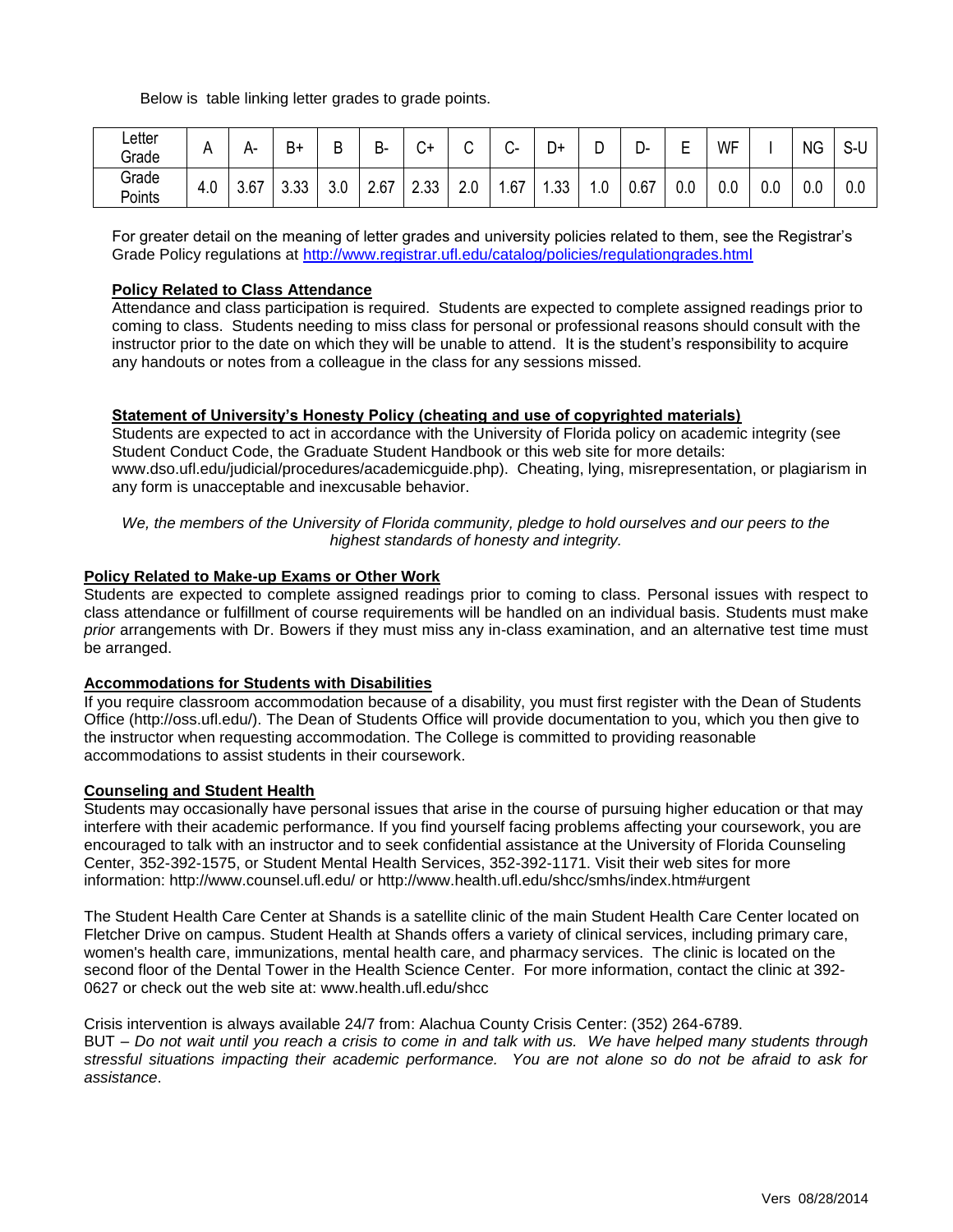Below is table linking letter grades to grade points.

| ∟etter<br>Grade |     | А-   | D<br>B+          | В   | D<br>D- | $\sim$<br>+ن | ⌒<br>ັ | ⌒<br>$\sim$ | -<br>+ل | -<br>◡                         | ∍<br>- ب | -<br>−<br>− | WF      |               | <b>NG</b> | $\sim$<br>ა-u |
|-----------------|-----|------|------------------|-----|---------|--------------|--------|-------------|---------|--------------------------------|----------|-------------|---------|---------------|-----------|---------------|
| Grade<br>Points | 4.0 | 3.67 | ົດດ<br>⌒<br>∪.∪∪ | 3.0 | 2.67    | 2.33         | 2.0    | .67         | .33     | $\overline{\phantom{a}}$<br>.u | 0.67     | 0.0         | $0.0\,$ | $\sim$<br>v.v | 0.0       | 0.0           |

For greater detail on the meaning of letter grades and university policies related to them, see the Registrar's Grade Policy regulations at<http://www.registrar.ufl.edu/catalog/policies/regulationgrades.html>

#### **Policy Related to Class Attendance**

Attendance and class participation is required. Students are expected to complete assigned readings prior to coming to class. Students needing to miss class for personal or professional reasons should consult with the instructor prior to the date on which they will be unable to attend. It is the student's responsibility to acquire any handouts or notes from a colleague in the class for any sessions missed.

### **Statement of University's Honesty Policy (cheating and use of copyrighted materials)**

Students are expected to act in accordance with the University of Florida policy on academic integrity (see Student Conduct Code, the Graduate Student Handbook or this web site for more details: www.dso.ufl.edu/judicial/procedures/academicguide.php). Cheating, lying, misrepresentation, or plagiarism in any form is unacceptable and inexcusable behavior.

*We, the members of the University of Florida community, pledge to hold ourselves and our peers to the highest standards of honesty and integrity.*

#### **Policy Related to Make-up Exams or Other Work**

Students are expected to complete assigned readings prior to coming to class. Personal issues with respect to class attendance or fulfillment of course requirements will be handled on an individual basis. Students must make *prior* arrangements with Dr. Bowers if they must miss any in-class examination, and an alternative test time must be arranged.

#### **Accommodations for Students with Disabilities**

If you require classroom accommodation because of a disability, you must first register with the Dean of Students Office (http://oss.ufl.edu/). The Dean of Students Office will provide documentation to you, which you then give to the instructor when requesting accommodation. The College is committed to providing reasonable accommodations to assist students in their coursework.

#### **Counseling and Student Health**

Students may occasionally have personal issues that arise in the course of pursuing higher education or that may interfere with their academic performance. If you find yourself facing problems affecting your coursework, you are encouraged to talk with an instructor and to seek confidential assistance at the University of Florida Counseling Center, 352-392-1575, or Student Mental Health Services, 352-392-1171. Visit their web sites for more information: http://www.counsel.ufl.edu/ or http://www.health.ufl.edu/shcc/smhs/index.htm#urgent

The Student Health Care Center at Shands is a satellite clinic of the main Student Health Care Center located on Fletcher Drive on campus. Student Health at Shands offers a variety of clinical services, including primary care, women's health care, immunizations, mental health care, and pharmacy services. The clinic is located on the second floor of the Dental Tower in the Health Science Center. For more information, contact the clinic at 392- 0627 or check out the web site at: www.health.ufl.edu/shcc.

Crisis intervention is always available 24/7 from: Alachua County Crisis Center: (352) 264-6789. BUT – *Do not wait until you reach a crisis to come in and talk with us. We have helped many students through stressful situations impacting their academic performance. You are not alone so do not be afraid to ask for assistance*.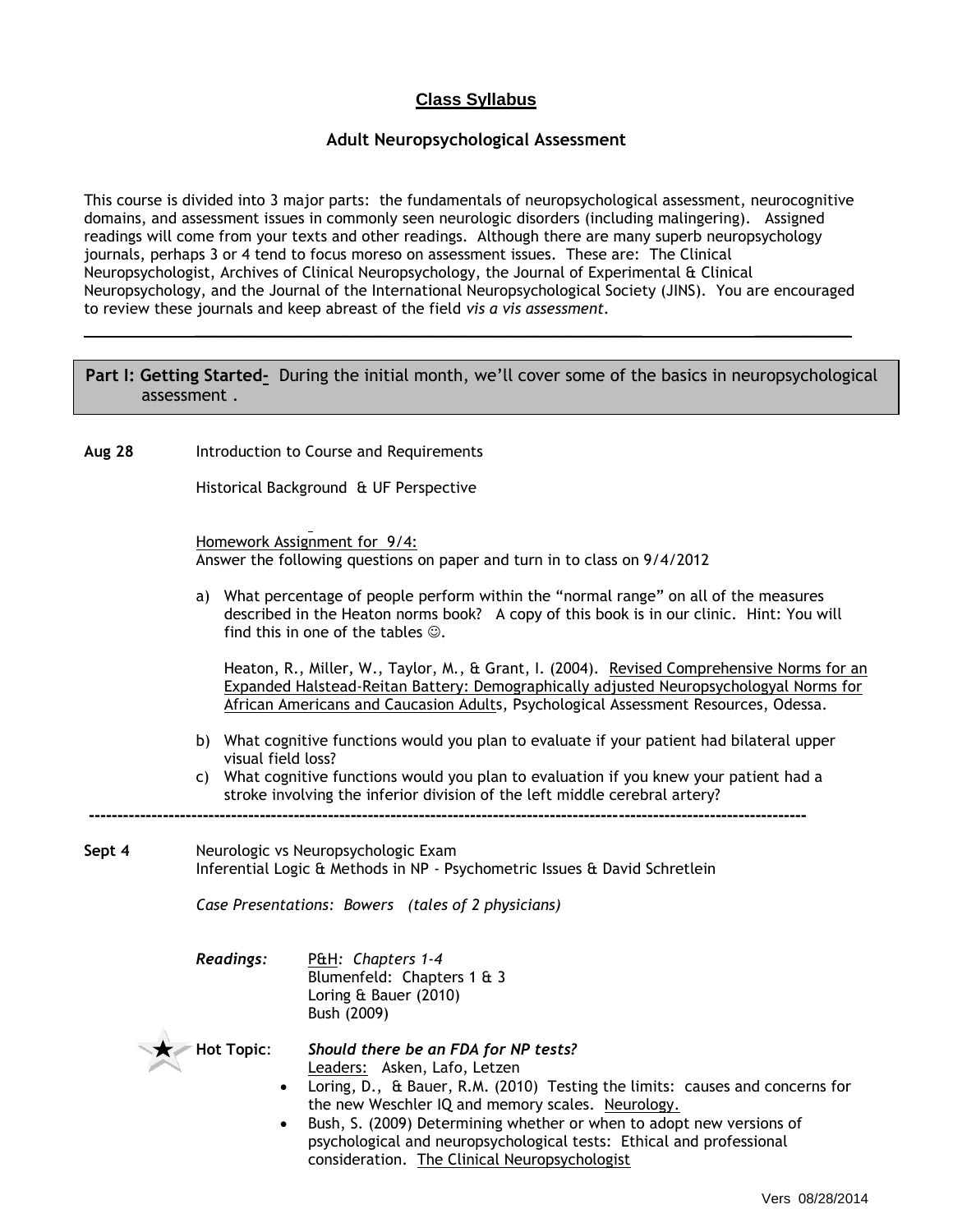## **Class Syllabus**

### **Adult Neuropsychological Assessment**

This course is divided into 3 major parts: the fundamentals of neuropsychological assessment, neurocognitive domains, and assessment issues in commonly seen neurologic disorders (including malingering). Assigned readings will come from your texts and other readings. Although there are many superb neuropsychology journals, perhaps 3 or 4 tend to focus moreso on assessment issues. These are: The Clinical Neuropsychologist, Archives of Clinical Neuropsychology, the Journal of Experimental & Clinical Neuropsychology, and the Journal of the International Neuropsychological Society (JINS). You are encouraged to review these journals and keep abreast of the field *vis a vis assessment.*

### **Part I: Getting Started***-* During the initial month, we'll cover some of the basics in neuropsychological assessment .

*\_\_\_\_\_\_\_\_\_\_\_\_\_\_\_\_\_\_\_\_\_\_\_\_\_\_\_\_\_\_\_\_\_\_\_\_\_\_\_\_\_\_\_\_\_\_\_ \_\_\_\_\_\_\_\_\_\_*

**Aug 28** Introduction to Course and Requirements

Historical Background & UF Perspective

Homework Assignment for 9/4: Answer the following questions on paper and turn in to class on 9/4/2012

a) What percentage of people perform within the "normal range" on all of the measures described in the Heaton norms book? A copy of this book is in our clinic. Hint: You will find this in one of the tables  $\odot$ .

Heaton, R., Miller, W., Taylor, M., & Grant, I. (2004). Revised Comprehensive Norms for an Expanded Halstead-Reitan Battery: Demographically adjusted Neuropsychologyal Norms for African Americans and Caucasion Adults, Psychological Assessment Resources, Odessa.

- b) What cognitive functions would you plan to evaluate if your patient had bilateral upper visual field loss?
- c) What cognitive functions would you plan to evaluation if you knew your patient had a stroke involving the inferior division of the left middle cerebral artery?
- **Sept 4** Neurologic vs Neuropsychologic Exam Inferential Logic & Methods in NP - Psychometric Issues & David Schretlein

**------------------------------------------------------------------------------------------------------------------------------**

*Case Presentations: Bowers (tales of 2 physicians)*

*Readings:* P&H*: Chapters 1-4* Blumenfeld: Chapters 1 & 3 Loring & Bauer (2010) Bush (2009)

- **Hot Topic**: *Should there be an FDA for NP tests?* Leaders: Asken, Lafo, Letzen
	- Loring, D., & Bauer, R.M. (2010) Testing the limits: causes and concerns for the new Weschler IQ and memory scales. Neurology.
	- Bush, S. (2009) Determining whether or when to adopt new versions of psychological and neuropsychological tests: Ethical and professional consideration. The Clinical Neuropsychologist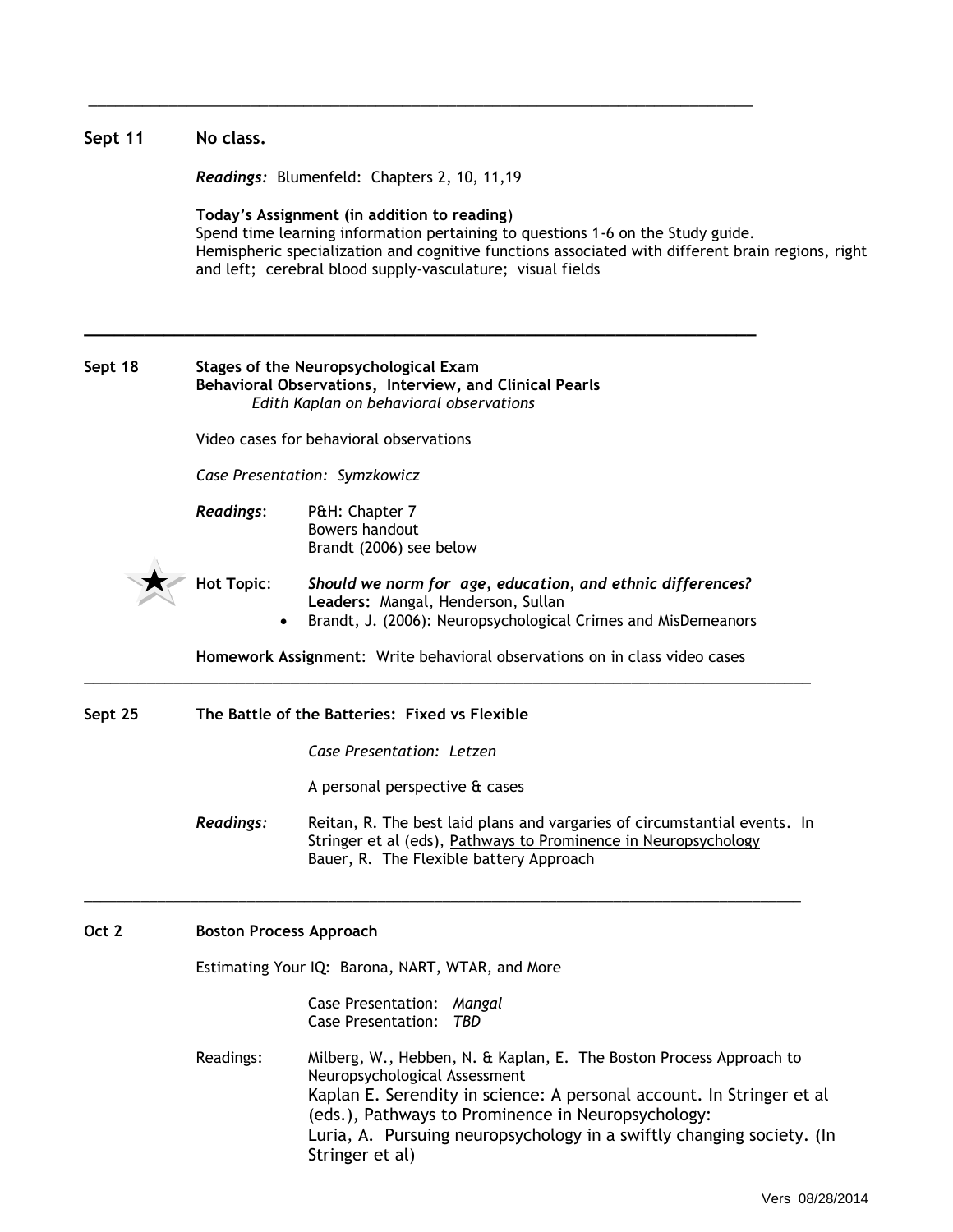| Sept 11 | No class.                                                                                                                                                                                                                                                                                         |                                                                                                                                                                                                                                                                                                                                 |  |  |  |  |  |  |
|---------|---------------------------------------------------------------------------------------------------------------------------------------------------------------------------------------------------------------------------------------------------------------------------------------------------|---------------------------------------------------------------------------------------------------------------------------------------------------------------------------------------------------------------------------------------------------------------------------------------------------------------------------------|--|--|--|--|--|--|
|         | Readings: Blumenfeld: Chapters 2, 10, 11, 19                                                                                                                                                                                                                                                      |                                                                                                                                                                                                                                                                                                                                 |  |  |  |  |  |  |
|         | Today's Assignment (in addition to reading)<br>Spend time learning information pertaining to questions 1-6 on the Study guide.<br>Hemispheric specialization and cognitive functions associated with different brain regions, right<br>and left; cerebral blood supply-vasculature; visual fields |                                                                                                                                                                                                                                                                                                                                 |  |  |  |  |  |  |
| Sept 18 |                                                                                                                                                                                                                                                                                                   | Stages of the Neuropsychological Exam<br>Behavioral Observations, Interview, and Clinical Pearls<br>Edith Kaplan on behavioral observations                                                                                                                                                                                     |  |  |  |  |  |  |
|         |                                                                                                                                                                                                                                                                                                   | Video cases for behavioral observations                                                                                                                                                                                                                                                                                         |  |  |  |  |  |  |
|         |                                                                                                                                                                                                                                                                                                   | Case Presentation: Symzkowicz                                                                                                                                                                                                                                                                                                   |  |  |  |  |  |  |
|         | <b>Readings:</b>                                                                                                                                                                                                                                                                                  | P&H: Chapter 7<br>Bowers handout<br>Brandt (2006) see below                                                                                                                                                                                                                                                                     |  |  |  |  |  |  |
|         | <b>Hot Topic:</b><br>$\bullet$                                                                                                                                                                                                                                                                    | Should we norm for age, education, and ethnic differences?<br>Leaders: Mangal, Henderson, Sullan<br>Brandt, J. (2006): Neuropsychological Crimes and MisDemeanors                                                                                                                                                               |  |  |  |  |  |  |
|         | Homework Assignment: Write behavioral observations on in class video cases                                                                                                                                                                                                                        |                                                                                                                                                                                                                                                                                                                                 |  |  |  |  |  |  |
| Sept 25 |                                                                                                                                                                                                                                                                                                   | The Battle of the Batteries: Fixed vs Flexible                                                                                                                                                                                                                                                                                  |  |  |  |  |  |  |
|         |                                                                                                                                                                                                                                                                                                   | Case Presentation: Letzen                                                                                                                                                                                                                                                                                                       |  |  |  |  |  |  |
|         |                                                                                                                                                                                                                                                                                                   | A personal perspective & cases                                                                                                                                                                                                                                                                                                  |  |  |  |  |  |  |
|         | <b>Readings:</b>                                                                                                                                                                                                                                                                                  | Reitan, R. The best laid plans and vargaries of circumstantial events. In<br>Stringer et al (eds), Pathways to Prominence in Neuropsychology<br>Bauer, R. The Flexible battery Approach                                                                                                                                         |  |  |  |  |  |  |
| Oct 2   | <b>Boston Process Approach</b>                                                                                                                                                                                                                                                                    |                                                                                                                                                                                                                                                                                                                                 |  |  |  |  |  |  |
|         | Estimating Your IQ: Barona, NART, WTAR, and More                                                                                                                                                                                                                                                  |                                                                                                                                                                                                                                                                                                                                 |  |  |  |  |  |  |
|         |                                                                                                                                                                                                                                                                                                   | Case Presentation: Mangal<br><b>Case Presentation:</b><br>TBD                                                                                                                                                                                                                                                                   |  |  |  |  |  |  |
|         | Readings:                                                                                                                                                                                                                                                                                         | Milberg, W., Hebben, N. & Kaplan, E. The Boston Process Approach to<br>Neuropsychological Assessment<br>Kaplan E. Serendity in science: A personal account. In Stringer et al<br>(eds.), Pathways to Prominence in Neuropsychology:<br>Luria, A. Pursuing neuropsychology in a swiftly changing society. (In<br>Stringer et al) |  |  |  |  |  |  |

\_\_\_\_\_\_\_\_\_\_\_\_\_\_\_\_\_\_\_\_\_\_\_\_\_\_\_\_\_\_\_\_\_\_\_\_\_\_\_\_\_\_\_\_\_\_\_\_\_\_\_\_\_\_\_\_\_\_\_\_\_\_\_\_\_\_\_\_\_\_\_\_\_\_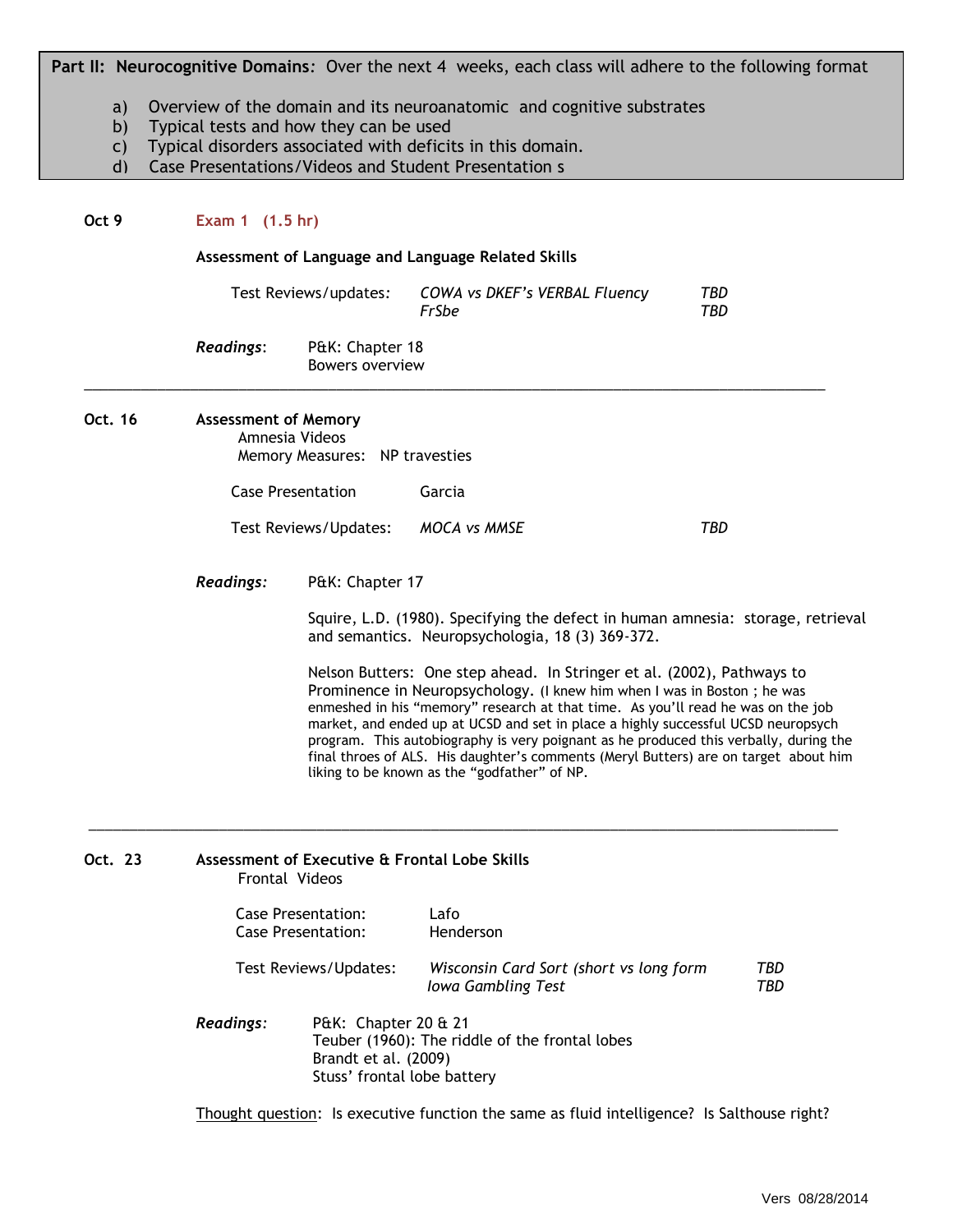**Part II: Neurocognitive Domains***:* Over the next 4 weeks, each class will adhere to the following format

- a) Overview of the domain and its neuroanatomic and cognitive substrates
- b) Typical tests and how they can be used
- c) Typical disorders associated with deficits in this domain.
- d) Case Presentations/Videos and Student Presentation s

#### **Oct 9 Exam 1 (1.5 hr)**

**Assessment of Language and Language Related Skills**

|           | Test Reviews/updates:              | COWA vs DKEF's VERBAL Fluency<br>FrSbe | TBD<br>TBD |
|-----------|------------------------------------|----------------------------------------|------------|
| Readings: | P&K: Chapter 18<br>Bowers overview |                                        |            |

#### **Oct. 16 Assessment of Memory**

Amnesia Videos Memory Measures: NP travesties

Case Presentation Garcia

 $\overline{\phantom{a}}$  ,  $\overline{\phantom{a}}$  ,  $\overline{\phantom{a}}$  ,  $\overline{\phantom{a}}$  ,  $\overline{\phantom{a}}$  ,  $\overline{\phantom{a}}$  ,  $\overline{\phantom{a}}$  ,  $\overline{\phantom{a}}$  ,  $\overline{\phantom{a}}$  ,  $\overline{\phantom{a}}$  ,  $\overline{\phantom{a}}$  ,  $\overline{\phantom{a}}$  ,  $\overline{\phantom{a}}$  ,  $\overline{\phantom{a}}$  ,  $\overline{\phantom{a}}$  ,  $\overline{\phantom{a}}$ 

Test Reviews/Updates: *MOCA vs MMSE TBD*

\_\_\_\_\_\_\_\_\_\_\_\_\_\_\_\_\_\_\_\_\_\_\_\_\_\_\_\_\_\_\_\_\_\_\_\_\_\_\_\_\_\_\_\_\_\_\_\_\_\_\_\_\_\_\_\_\_\_\_\_\_\_\_\_\_\_\_\_\_\_\_\_\_\_\_\_\_\_\_\_\_\_\_\_\_\_\_\_\_\_\_

*Readings:* P&K: Chapter 17

Squire, L.D. (1980). Specifying the defect in human amnesia: storage, retrieval and semantics. Neuropsychologia, 18 (3) 369-372.

Nelson Butters: One step ahead. In Stringer et al. (2002), Pathways to Prominence in Neuropsychology. (I knew him when I was in Boston ; he was enmeshed in his "memory" research at that time. As you'll read he was on the job market, and ended up at UCSD and set in place a highly successful UCSD neuropsych program. This autobiography is very poignant as he produced this verbally, during the final throes of ALS. His daughter's comments (Meryl Butters) are on target about him liking to be known as the "godfather" of NP.

# **Oct. 23 Assessment of Executive & Frontal Lobe Skills** Frontal Videos Case Presentation: Lafo Case Presentation: Henderson Test Reviews/Updates: *Wisconsin Card Sort (short vs long form TBD Iowa Gambling Test TBD*

*Readings:* P&K: Chapter 20 & 21 Teuber (1960): The riddle of the frontal lobes Brandt et al. (2009) Stuss' frontal lobe battery

Thought question: Is executive function the same as fluid intelligence? Is Salthouse right?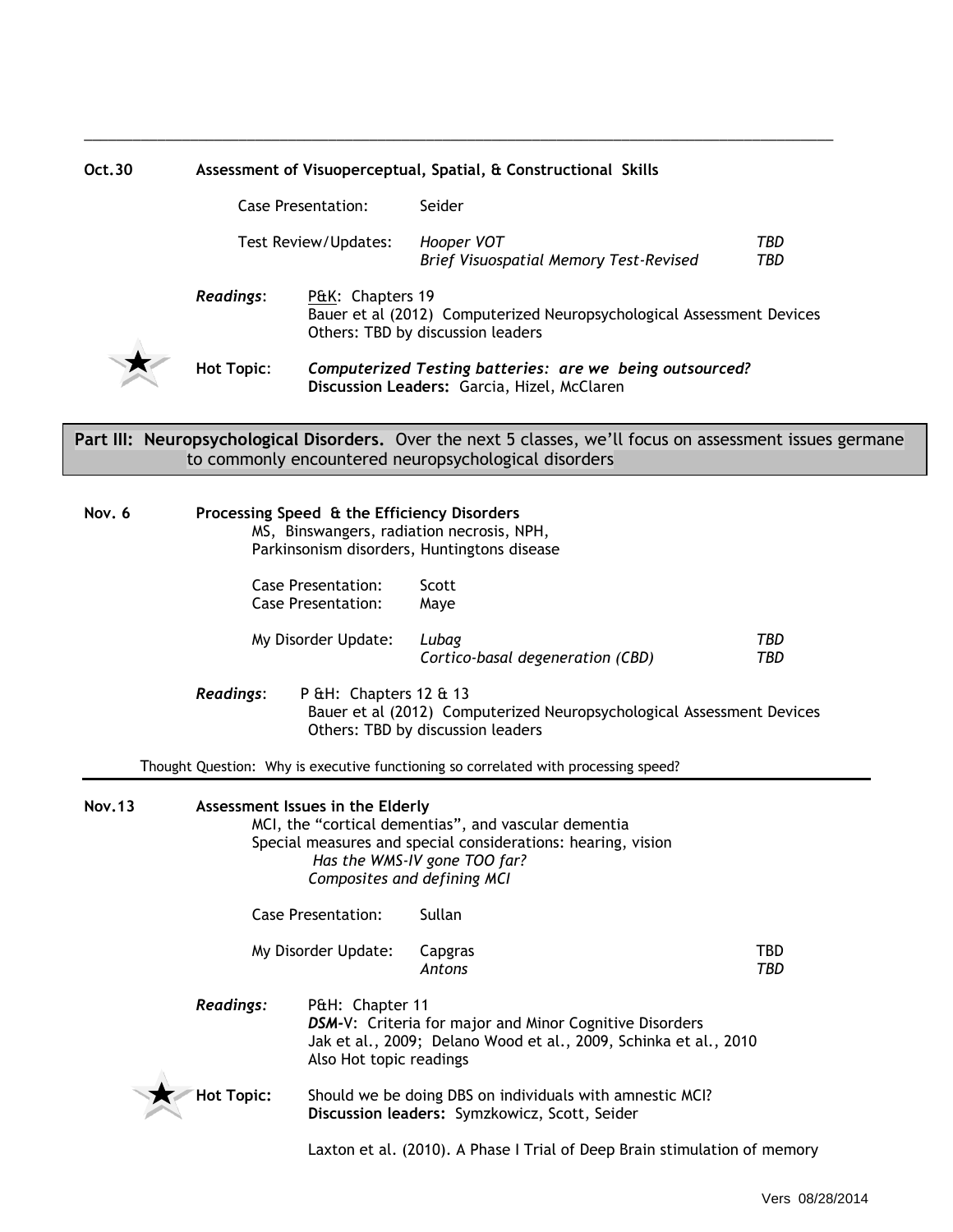| Oct.30        | Assessment of Visuoperceptual, Spatial, & Constructional Skills |                                                        |                                                                                                                                                                                     |                   |  |  |
|---------------|-----------------------------------------------------------------|--------------------------------------------------------|-------------------------------------------------------------------------------------------------------------------------------------------------------------------------------------|-------------------|--|--|
|               |                                                                 | <b>Case Presentation:</b>                              | Seider                                                                                                                                                                              |                   |  |  |
|               | Test Review/Updates:                                            |                                                        | Hooper VOT<br>Brief Visuospatial Memory Test-Revised                                                                                                                                | <b>TBD</b><br>TBD |  |  |
|               | <b>Readings:</b>                                                | P&K: Chapters 19                                       | Bauer et al (2012) Computerized Neuropsychological Assessment Devices<br>Others: TBD by discussion leaders                                                                          |                   |  |  |
|               | <b>Hot Topic:</b>                                               |                                                        | Computerized Testing batteries: are we being outsourced?<br>Discussion Leaders: Garcia, Hizel, McClaren                                                                             |                   |  |  |
|               |                                                                 |                                                        | Part III: Neuropsychological Disorders. Over the next 5 classes, we'll focus on assessment issues germane<br>to commonly encountered neuropsychological disorders                   |                   |  |  |
| Nov. 6        |                                                                 |                                                        | Processing Speed & the Efficiency Disorders<br>MS, Binswangers, radiation necrosis, NPH,<br>Parkinsonism disorders, Huntingtons disease                                             |                   |  |  |
|               |                                                                 | <b>Case Presentation:</b><br><b>Case Presentation:</b> | Scott<br>Maye                                                                                                                                                                       |                   |  |  |
|               |                                                                 | My Disorder Update:                                    | Lubag<br>Cortico-basal degeneration (CBD)                                                                                                                                           | TBD<br>TBD        |  |  |
|               | <b>Readings:</b>                                                | P &H: Chapters 12 & 13                                 | Bauer et al (2012) Computerized Neuropsychological Assessment Devices<br>Others: TBD by discussion leaders                                                                          |                   |  |  |
|               |                                                                 |                                                        | Thought Question: Why is executive functioning so correlated with processing speed?                                                                                                 |                   |  |  |
| <b>Nov.13</b> |                                                                 | Assessment Issues in the Elderly                       | MCI, the "cortical dementias", and vascular dementia<br>Special measures and special considerations: hearing, vision<br>Has the WMS-IV gone TOO far?<br>Composites and defining MCI |                   |  |  |
|               |                                                                 | <b>Case Presentation:</b>                              | Sullan                                                                                                                                                                              |                   |  |  |
|               |                                                                 | My Disorder Update:                                    | Capgras<br>Antons                                                                                                                                                                   | TBD<br>TBD        |  |  |
|               | <b>Readings:</b>                                                | P&H: Chapter 11<br>Also Hot topic readings             | DSM-V: Criteria for major and Minor Cognitive Disorders<br>Jak et al., 2009; Delano Wood et al., 2009, Schinka et al., 2010                                                         |                   |  |  |
|               | <b>Hot Topic:</b>                                               |                                                        | Should we be doing DBS on individuals with amnestic MCI?<br>Discussion leaders: Symzkowicz, Scott, Seider                                                                           |                   |  |  |
|               |                                                                 |                                                        | Laxton et al. (2010). A Phase I Trial of Deep Brain stimulation of memory                                                                                                           |                   |  |  |

\_\_\_\_\_\_\_\_\_\_\_\_\_\_\_\_\_\_\_\_\_\_\_\_\_\_\_\_\_\_\_\_\_\_\_\_\_\_\_\_\_\_\_\_\_\_\_\_\_\_\_\_\_\_\_\_\_\_\_\_\_\_\_\_\_\_\_\_\_\_\_\_\_\_\_\_\_\_\_\_\_\_\_\_\_\_\_\_\_\_\_\_